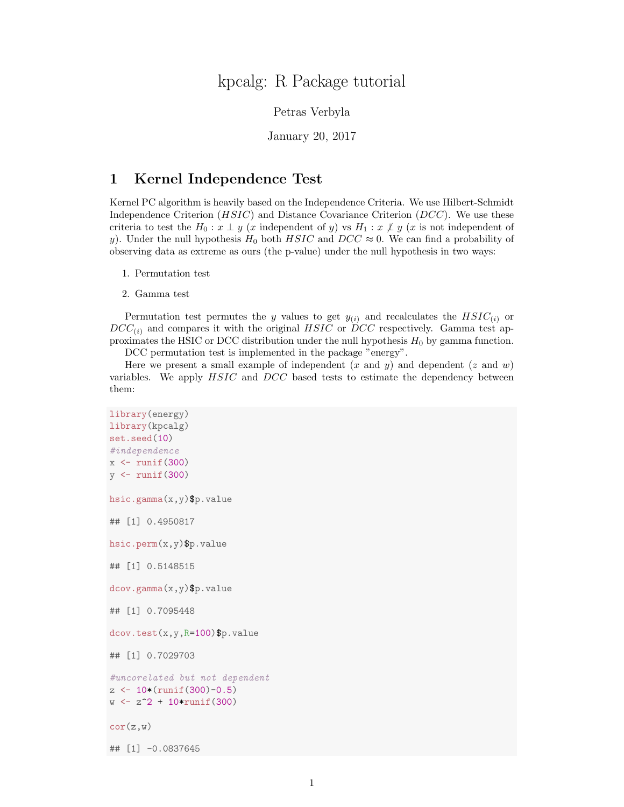## kpcalg: R Package tutorial

Petras Verbyla

January 20, 2017

## 1 Kernel Independence Test

Kernel PC algorithm is heavily based on the Independence Criteria. We use Hilbert-Schmidt Independence Criterion  $(HSIC)$  and Distance Covariance Criterion  $(DCC)$ . We use these criteria to test the  $H_0: x \perp y$  (x independent of y) vs  $H_1: x \not\perp y$  (x is not independent of y). Under the null hypothesis  $H_0$  both  $HSIC$  and  $DCC \approx 0$ . We can find a probability of observing data as extreme as ours (the p-value) under the null hypothesis in two ways:

- 1. Permutation test
- 2. Gamma test

Permutation test permutes the y values to get  $y_{(i)}$  and recalculates the  $HSIC_{(i)}$  or  $DCC_{(i)}$  and compares it with the original HSIC or DCC respectively. Gamma test approximates the HSIC or DCC distribution under the null hypothesis  $H_0$  by gamma function.

DCC permutation test is implemented in the package "energy".

Here we present a small example of independent  $(x \text{ and } y)$  and dependent  $(z \text{ and } w)$ variables. We apply HSIC and DCC based tests to estimate the dependency between them:

```
library(energy)
library(kpcalg)
set.seed(10)
#independence
x \leftarrow runif(300)y <- runif(300)
hsic.gamma(x,y)$p.value
## [1] 0.4950817
hsic.perm(x,y)$p.value
## [1] 0.5148515
dcov.gamma(x,y)$p.value
## [1] 0.7095448
dcov.test(x,y,R=100)$p.value
## [1] 0.7029703
#uncorelated but not dependent
z <- 10*(runif(300)-0.5)
w \leq z^2 + 10*r \text{unif}(300)cor(z,w)## [1] -0.0837645
```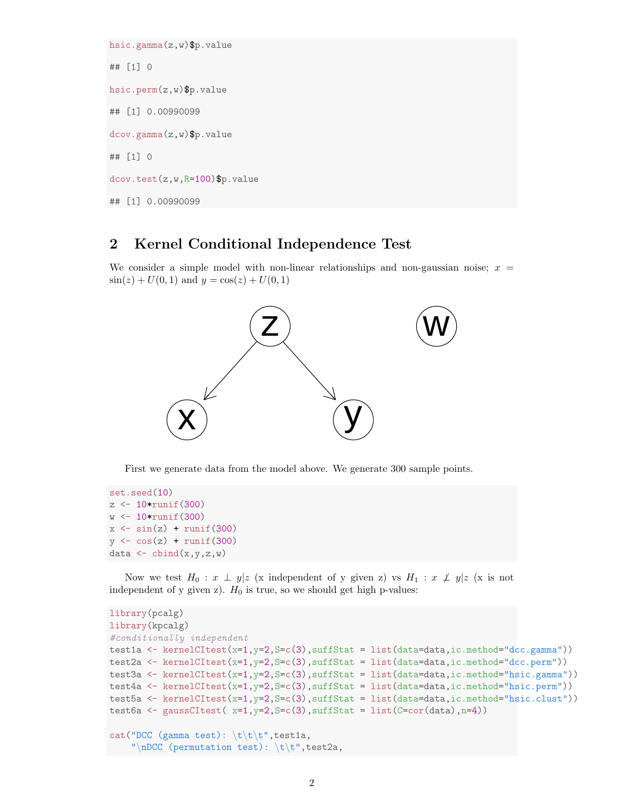```
hsic.gamma(z,w)$p.value
## [1] 0
hsic.perm(z,w)$p.value
## [1] 0.00990099
dcov.gamma(z,w)$p.value
## [1] 0
dcov.test(z,w,R=100)$p.value
## [1] 0.00990099
```
## 2 Kernel Conditional Independence Test

We consider a simple model with non-linear relationships and non-gaussian noise;  $x =$  $\sin(z) + U(0, 1)$  and  $y = \cos(z) + U(0, 1)$ 



First we generate data from the model above. We generate 300 sample points.

```
set.seed(10)
z <- 10*runif(300)
w \leftarrow 10*runif(300)x \leftarrow \sin(z) + \text{runif}(300)y \leftarrow \cos(z) + \text{runif}(300)data \leftarrow cbind(x,y,z,w)
```
Now we test  $H_0 : x \perp y | z$  (x independent of y given z) vs  $H_1 : x \not\perp y | z$  (x is not independent of y given z).  $H_0$  is true, so we should get high p-values:

```
library(pcalg)
library(kpcalg)
#conditionally independent
test1a <- kernelCItest(x=1,y=2,S=c(3),suffStat = list(data=data,ic.method="dcc.gamma"))
test2a <- kernelCItest(x=1,y=2,S=c(3),suffStat = list(data=data,ic.method="dcc.perm"))
test3a <- kernelCItest(x=1,y=2,S=c(3),suffStat = list(data=data,ic.method="hsic.gamma"))
test4a <- kernelCItest(x=1,y=2,S=c(3),suffStat = list(data=data,ic.method="hsic.perm"))
test5a <- kernelCItest(x=1,y=2,S=c(3),suffStat = list(data=data,ic.method="hsic.clust"))
test6a <- gaussCItest( x=1,y=2,S=c(3),suffStat = list(C=cor(data),n=4))
cat("DCC (gamma test): \t\trth, test1a,
    "\nDCC (permutation test): \mathbf{t}\t", test2a,
```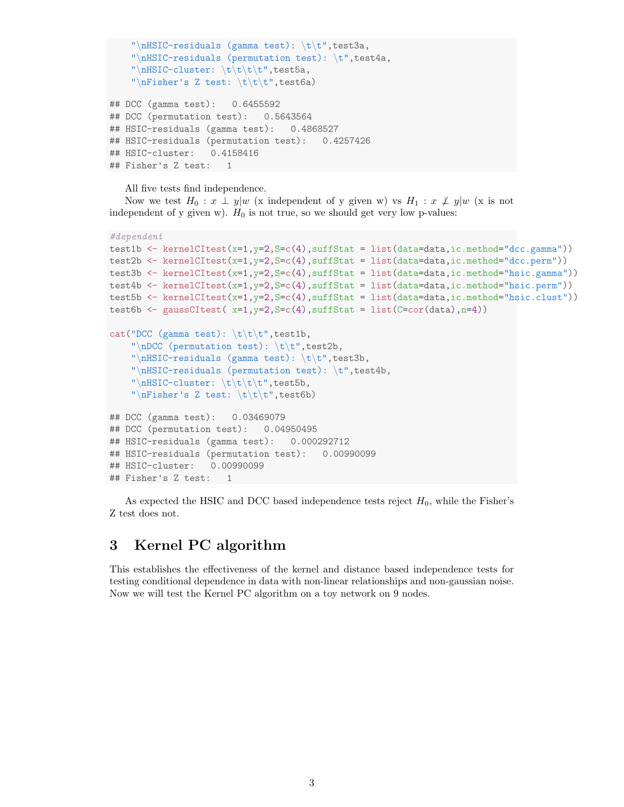```
"\nHSIC-residuals (gamma test): \t\t",test3a,
    "\nHSIC-residuals (permutation test): \t",test4a,
    "\nHSIC-cluster: \t\t\t\t", test5a,"\nFisher's Z test: \t\t\t\t", test6a)## DCC (gamma test): 0.6455592
## DCC (permutation test): 0.5643564
## HSIC-residuals (gamma test): 0.4868527
## HSIC-residuals (permutation test): 0.4257426
## HSIC-cluster: 0.4158416
## Fisher's Z test: 1
```
All five tests find independence.

Now we test  $H_0: x \perp y|w$  (x independent of y given w) vs  $H_1: x \not\perp y|w$  (x is not independent of y given w).  $H_0$  is not true, so we should get very low p-values:

```
#dependent
test1b <- kernelCItest(x=1,y=2,S=c(4),suffStat = list(data=data,ic.method="dcc.gamma"))
test2b \leq kernelCItest(x=1,y=2,S=c(4),suffStat = list(data=data,ic.method="dcc.perm"))
test3b <- kernelCItest(x=1,y=2,S=c(4),suffStat = list(data=data,ic.method="hsic.gamma"))
test4b <- kernelCItest(x=1,y=2,S=c(4),suffStat = list(data=data,ic.method="hsic.perm"))
test5b <- kernelCItest(x=1,y=2,S=c(4),suffStat = list(data=data,ic.method="hsic.clust"))
test6b \leq gaussCItest( x=1, y=2, S=c(4), suffStat = list(C=cor(data), n=4))
cat("DCC (gamma test): \mathbf{t}\cdot\mathbf{t}, test1b,
    "\nDCC (permutation test): \mathbf{t}t", test2b,
    "\nHSIC-residuals (gamma test): \t\t",test3b,
    "\nHSIC-residuals (permutation test): \t",test4b,
    "\nHSIC-cluster: \t\t\t\t",test5b,
    "\nFisher's Z test: \t\t\t\t", test6b)## DCC (gamma test): 0.03469079
## DCC (permutation test): 0.04950495
## HSIC-residuals (gamma test): 0.000292712
## HSIC-residuals (permutation test): 0.00990099
## HSIC-cluster: 0.00990099
## Fisher's Z test: 1
```
As expected the HSIC and DCC based independence tests reject  $H_0$ , while the Fisher's Z test does not.

## 3 Kernel PC algorithm

This establishes the effectiveness of the kernel and distance based independence tests for testing conditional dependence in data with non-linear relationships and non-gaussian noise. Now we will test the Kernel PC algorithm on a toy network on 9 nodes.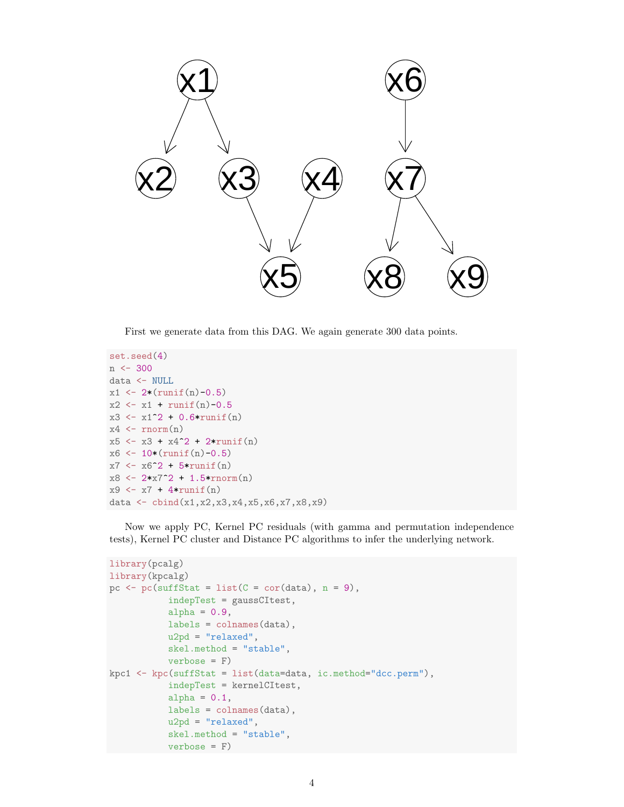

First we generate data from this DAG. We again generate 300 data points.

```
set.seed(4)
n <- 300
data <- NULL
x1 \leftarrow 2*(\text{runif}(n)-0.5)x2 \leftarrow x1 + \text{runif}(n)-0.5x3 \leftarrow x1^2 + 0.6*runif(n)x4 \leftarrow \text{rnorm}(n)x5 \leftarrow x3 + x4^2 + 2*runit(n)x6 \leftarrow 10*(\text{runif}(n)-0.5)x7 <- x6^2 + 5*runif(n)
x8 \leftarrow 2*x7^2 + 1.5*rnorm(n)x9 \leftarrow x7 + 4*runit(n)data <- cbind(x1,x2,x3,x4,x5,x6,x7,x8,x9)
```
Now we apply PC, Kernel PC residuals (with gamma and permutation independence tests), Kernel PC cluster and Distance PC algorithms to infer the underlying network.

```
library(pcalg)
library(kpcalg)
pc \leftarrow pc(suffStat = list(C = cor(data), n = 9),
           indepTest = gaussCItest,
           alpha = 0.9,
           labels = colnames(data),
           u2pd = "relaxed",skel.method = "stable",
           verbose = F)
kpc1 <- kpc(suffStat = list(data=data, ic.method="dcc.perm"),
           indepTest = kernelCItest,
           alpha = 0.1,
           labels = colnames(data),
           u2pd = "relaxed",
           skel.method = "stable",
           verbose = F)
```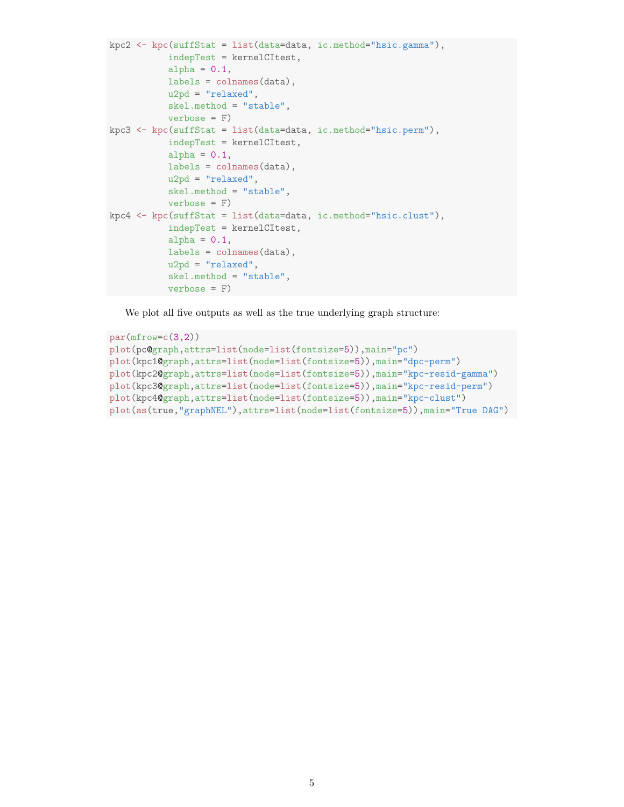```
kpc2 <- kpc(suffStat = list(data=data, ic.method="hsic.gamma"),
           indepTest = kernelCItest,
           alpha = 0.1,
           labels = colnames(data),
           u2pd = "relaxed",
           skel.method = "stable",
           verbose = F)kpc3 <- kpc(suffStat = list(data=data, ic.method="hsic.perm"),
           indepTest = kernelCItest,
           alpha = 0.1,
           labels = colnames(data),
           u2pd = "relaxed",skel.method = "stable",
           verbose = F)
kpc4 <- kpc(suffStat = list(data=data, ic.method="hsic.clust"),
           indepTest = kernelCItest,
           alpha = 0.1,
           labels = colnames(data),
           u2pd = "relaxed",
           skel.method = "stable",
           verbose = F)
```
We plot all five outputs as well as the true underlying graph structure:

```
par(mfrow=c(3,2))plot(pc@graph,attrs=list(node=list(fontsize=5)),main="pc")
plot(kpc1@graph,attrs=list(node=list(fontsize=5)),main="dpc-perm")
plot(kpc2@graph,attrs=list(node=list(fontsize=5)),main="kpc-resid-gamma")
plot(kpc3@graph,attrs=list(node=list(fontsize=5)),main="kpc-resid-perm")
plot(kpc4@graph,attrs=list(node=list(fontsize=5)),main="kpc-clust")
plot(as(true,"graphNEL"),attrs=list(node=list(fontsize=5)),main="True DAG")
```